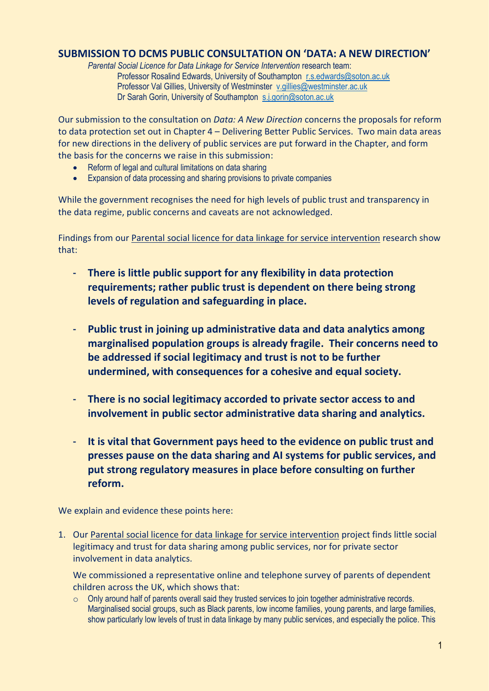## **SUBMISSION TO DCMS PUBLIC CONSULTATION ON 'DATA: A NEW DIRECTION'**

*Parental Social Licence for Data Linkage for Service Intervention* research team: Professor Rosalind Edwards, University of Southampton [r.s.edwards@soton.ac.uk](mailto:r.s.edwards@soton.ac.uk) Professor Val Gillies, University of Westminster [v.gillies@westminster.ac.uk](mailto:v.gillies@westminster.ac.uk) Dr Sarah Gorin, University of Southampton [s.j.gorin@soton.ac.uk](mailto:s.j.gorin@soton.ac.uk)

Our submission to the consultation on *Data: A New Direction* concerns the proposals for reform to data protection set out in Chapter 4 – Delivering Better Public Services. Two main data areas for new directions in the delivery of public services are put forward in the Chapter, and form the basis for the concerns we raise in this submission:

- Reform of legal and cultural limitations on data sharing
- Expansion of data processing and sharing provisions to private companies

While the government recognises the need for high levels of public trust and transparency in the data regime, public concerns and caveats are not acknowledged.

Findings from our [Parental social licence for data linkage for service intervention](http://generic.wordpress.soton.ac.uk/parentdata/) research show that:

- **There is little public support for any flexibility in data protection requirements; rather public trust is dependent on there being strong levels of regulation and safeguarding in place.**
- **Public trust in joining up administrative data and data analytics among marginalised population groups is already fragile. Their concerns need to be addressed if social legitimacy and trust is not to be further undermined, with consequences for a cohesive and equal society.**
- **There is no social legitimacy accorded to private sector access to and involvement in public sector administrative data sharing and analytics.**
- **It is vital that Government pays heed to the evidence on public trust and presses pause on the data sharing and AI systems for public services, and put strong regulatory measures in place before consulting on further reform.**

We explain and evidence these points here:

1. Our [Parental social licence for data linkage for service intervention](http://generic.wordpress.soton.ac.uk/parentdata/) project finds little social legitimacy and trust for data sharing among public services, nor for private sector involvement in data analytics.

We commissioned a representative online and telephone survey of parents of dependent children across the UK, which shows that:

 $\circ$  Only around half of parents overall said they trusted services to join together administrative records. Marginalised social groups, such as Black parents, low income families, young parents, and large families, show particularly low levels of trust in data linkage by many public services, and especially the police. This